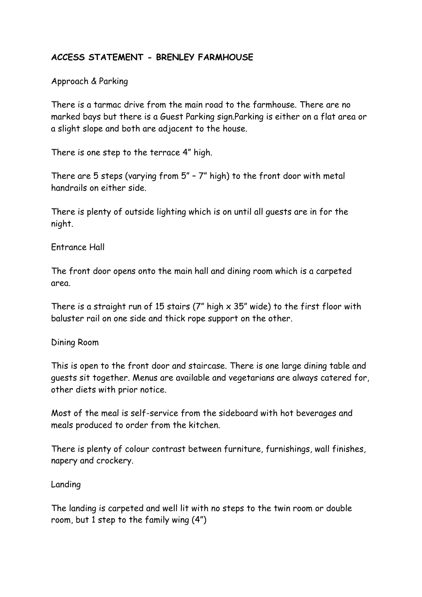# **ACCESS STATEMENT - BRENLEY FARMHOUSE**

### Approach & Parking

There is a tarmac drive from the main road to the farmhouse. There are no marked bays but there is a Guest Parking sign.Parking is either on a flat area or a slight slope and both are adjacent to the house.

There is one step to the terrace 4" high.

There are 5 steps (varying from 5" – 7" high) to the front door with metal handrails on either side.

There is plenty of outside lighting which is on until all guests are in for the night.

### Entrance Hall

The front door opens onto the main hall and dining room which is a carpeted area.

There is a straight run of 15 stairs (7" high  $\times$  35" wide) to the first floor with baluster rail on one side and thick rope support on the other.

### Dining Room

This is open to the front door and staircase. There is one large dining table and guests sit together. Menus are available and vegetarians are always catered for, other diets with prior notice.

Most of the meal is self-service from the sideboard with hot beverages and meals produced to order from the kitchen.

There is plenty of colour contrast between furniture, furnishings, wall finishes, napery and crockery.

### Landing

The landing is carpeted and well lit with no steps to the twin room or double room, but 1 step to the family wing (4")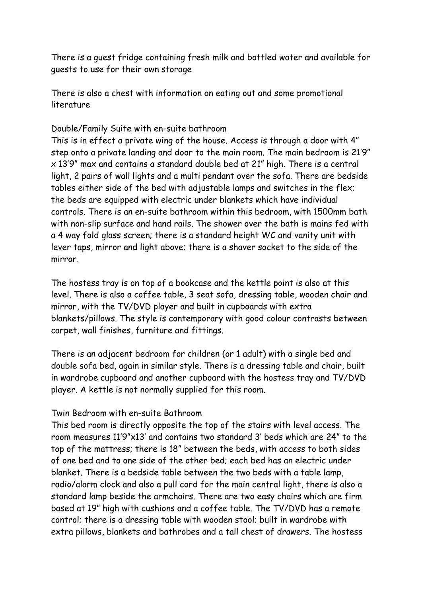There is a guest fridge containing fresh milk and bottled water and available for guests to use for their own storage

There is also a chest with information on eating out and some promotional literature

### Double/Family Suite with en-suite bathroom

This is in effect a private wing of the house. Access is through a door with 4" step onto a private landing and door to the main room. The main bedroom is 21'9" x 13'9" max and contains a standard double bed at 21" high. There is a central light, 2 pairs of wall lights and a multi pendant over the sofa. There are bedside tables either side of the bed with adjustable lamps and switches in the flex; the beds are equipped with electric under blankets which have individual controls. There is an en-suite bathroom within this bedroom, with 1500mm bath with non-slip surface and hand rails. The shower over the bath is mains fed with a 4 way fold glass screen; there is a standard height WC and vanity unit with lever taps, mirror and light above; there is a shaver socket to the side of the mirror.

The hostess tray is on top of a bookcase and the kettle point is also at this level. There is also a coffee table, 3 seat sofa, dressing table, wooden chair and mirror, with the TV/DVD player and built in cupboards with extra blankets/pillows. The style is contemporary with good colour contrasts between carpet, wall finishes, furniture and fittings.

There is an adjacent bedroom for children (or 1 adult) with a single bed and double sofa bed, again in similar style. There is a dressing table and chair, built in wardrobe cupboard and another cupboard with the hostess tray and TV/DVD player. A kettle is not normally supplied for this room.

### Twin Bedroom with en-suite Bathroom

This bed room is directly opposite the top of the stairs with level access. The room measures 11'9"x13' and contains two standard 3' beds which are 24" to the top of the mattress; there is 18" between the beds, with access to both sides of one bed and to one side of the other bed; each bed has an electric under blanket. There is a bedside table between the two beds with a table lamp, radio/alarm clock and also a pull cord for the main central light, there is also a standard lamp beside the armchairs. There are two easy chairs which are firm based at 19" high with cushions and a coffee table. The TV/DVD has a remote control; there is a dressing table with wooden stool; built in wardrobe with extra pillows, blankets and bathrobes and a tall chest of drawers. The hostess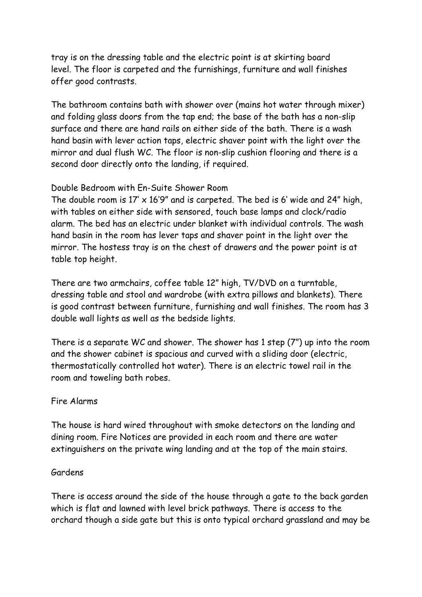tray is on the dressing table and the electric point is at skirting board level. The floor is carpeted and the furnishings, furniture and wall finishes offer good contrasts.

The bathroom contains bath with shower over (mains hot water through mixer) and folding glass doors from the tap end; the base of the bath has a non-slip surface and there are hand rails on either side of the bath. There is a wash hand basin with lever action taps, electric shaver point with the light over the mirror and dual flush WC. The floor is non-slip cushion flooring and there is a second door directly onto the landing, if required.

## Double Bedroom with En-Suite Shower Room

The double room is  $17' \times 16'9''$  and is carpeted. The bed is 6' wide and 24" high, with tables on either side with sensored, touch base lamps and clock/radio alarm. The bed has an electric under blanket with individual controls. The wash hand basin in the room has lever taps and shaver point in the light over the mirror. The hostess tray is on the chest of drawers and the power point is at table top height.

There are two armchairs, coffee table 12" high, TV/DVD on a turntable, dressing table and stool and wardrobe (with extra pillows and blankets). There is good contrast between furniture, furnishing and wall finishes. The room has 3 double wall lights as well as the bedside lights.

There is a separate WC and shower. The shower has 1 step (7") up into the room and the shower cabinet is spacious and curved with a sliding door (electric, thermostatically controlled hot water). There is an electric towel rail in the room and toweling bath robes.

## Fire Alarms

The house is hard wired throughout with smoke detectors on the landing and dining room. Fire Notices are provided in each room and there are water extinguishers on the private wing landing and at the top of the main stairs.

## Gardens

There is access around the side of the house through a gate to the back garden which is flat and lawned with level brick pathways. There is access to the orchard though a side gate but this is onto typical orchard grassland and may be